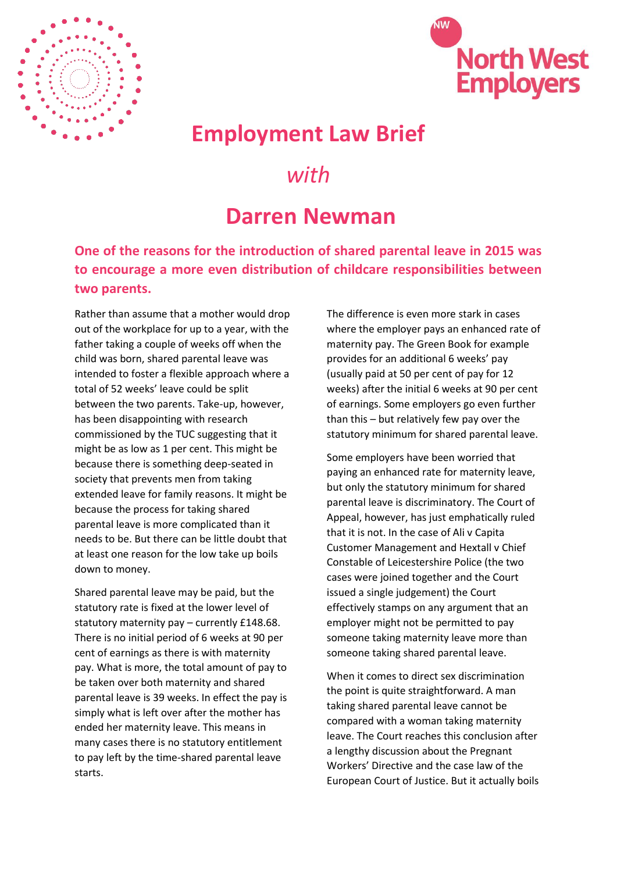



## **Employment Law Brief**

## *with*

## **Darren Newman**

**One of the reasons for the introduction of shared parental leave in 2015 was to encourage a more even distribution of childcare responsibilities between two parents.** 

Rather than assume that a mother would drop out of the workplace for up to a year, with the father taking a couple of weeks off when the child was born, shared parental leave was intended to foster a flexible approach where a total of 52 weeks' leave could be split between the two parents. Take-up, however, has been disappointing with research commissioned by the TUC suggesting that it might be as low as 1 per cent. This might be because there is something deep-seated in society that prevents men from taking extended leave for family reasons. It might be because the process for taking shared parental leave is more complicated than it needs to be. But there can be little doubt that at least one reason for the low take up boils down to money.

Shared parental leave may be paid, but the statutory rate is fixed at the lower level of statutory maternity pay – currently £148.68. There is no initial period of 6 weeks at 90 per cent of earnings as there is with maternity pay. What is more, the total amount of pay to be taken over both maternity and shared parental leave is 39 weeks. In effect the pay is simply what is left over after the mother has ended her maternity leave. This means in many cases there is no statutory entitlement to pay left by the time-shared parental leave starts.

The difference is even more stark in cases where the employer pays an enhanced rate of maternity pay. The Green Book for example provides for an additional 6 weeks' pay (usually paid at 50 per cent of pay for 12 weeks) after the initial 6 weeks at 90 per cent of earnings. Some employers go even further than this – but relatively few pay over the statutory minimum for shared parental leave.

Some employers have been worried that paying an enhanced rate for maternity leave, but only the statutory minimum for shared parental leave is discriminatory. The Court of Appeal, however, has just emphatically ruled that it is not. In the case of Ali v Capita Customer Management and Hextall v Chief Constable of Leicestershire Police (the two cases were joined together and the Court issued a single judgement) the Court effectively stamps on any argument that an employer might not be permitted to pay someone taking maternity leave more than someone taking shared parental leave.

When it comes to direct sex discrimination the point is quite straightforward. A man taking shared parental leave cannot be compared with a woman taking maternity leave. The Court reaches this conclusion after a lengthy discussion about the Pregnant Workers' Directive and the case law of the European Court of Justice. But it actually boils